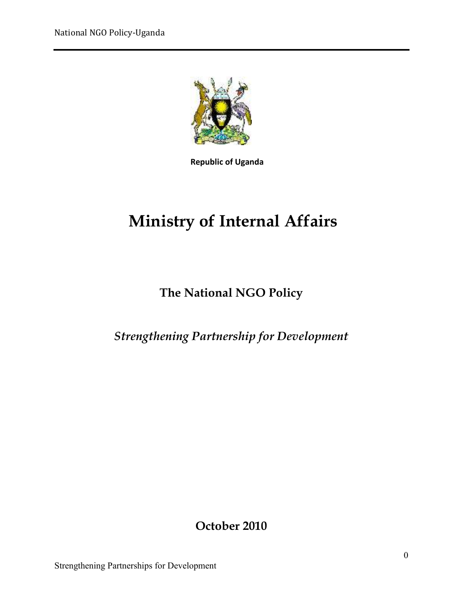

**Republic of Uganda**

# **Ministry of Internal Affairs**

# **The National NGO Policy**

#### *Strengthening Partnership for Development*

**October 2010**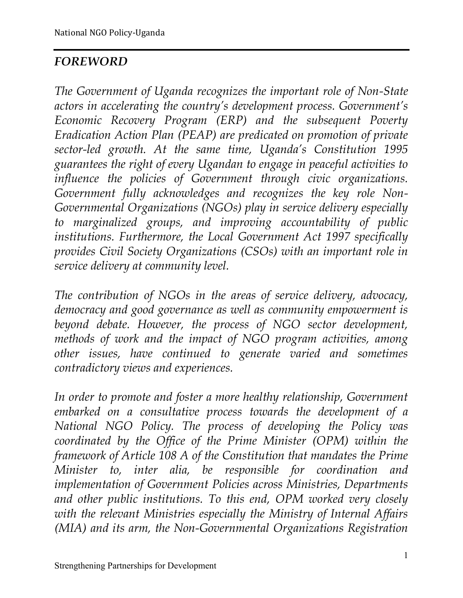# *FOREWORD*

*The Government of Uganda recognizes the important role of Non-State actors in accelerating the country's development process. Government's Economic Recovery Program (ERP) and the subsequent Poverty Eradication Action Plan (PEAP) are predicated on promotion of private sector-led growth. At the same time, Uganda's Constitution 1995 guarantees the right of every Ugandan to engage in peaceful activities to influence the policies of Government through civic organizations. Government fully acknowledges and recognizes the key role Non-Governmental Organizations (NGOs) play in service delivery especially to marginalized groups, and improving accountability of public institutions. Furthermore, the Local Government Act 1997 specifically provides Civil Society Organizations (CSOs) with an important role in service delivery at community level.* 

*The contribution of NGOs in the areas of service delivery, advocacy, democracy and good governance as well as community empowerment is beyond debate. However, the process of NGO sector development, methods of work and the impact of NGO program activities, among other issues, have continued to generate varied and sometimes contradictory views and experiences.* 

*In order to promote and foster a more healthy relationship, Government embarked on a consultative process towards the development of a National NGO Policy. The process of developing the Policy was coordinated by the Office of the Prime Minister (OPM) within the framework of Article 108 A of the Constitution that mandates the Prime Minister to, inter alia, be responsible for coordination and implementation of Government Policies across Ministries, Departments and other public institutions. To this end, OPM worked very closely with the relevant Ministries especially the Ministry of Internal Affairs (MIA) and its arm, the Non-Governmental Organizations Registration*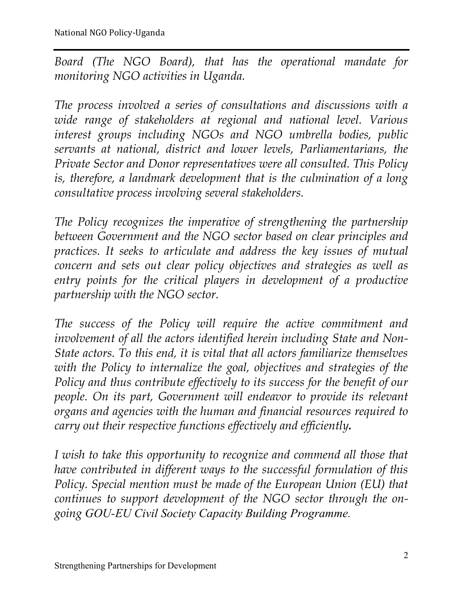*Board (The NGO Board), that has the operational mandate for monitoring NGO activities in Uganda.* 

*The process involved a series of consultations and discussions with a wide range of stakeholders at regional and national level. Various interest groups including NGOs and NGO umbrella bodies, public servants at national, district and lower levels, Parliamentarians, the Private Sector and Donor representatives were all consulted. This Policy is, therefore, a landmark development that is the culmination of a long consultative process involving several stakeholders.* 

*The Policy recognizes the imperative of strengthening the partnership between Government and the NGO sector based on clear principles and practices. It seeks to articulate and address the key issues of mutual concern and sets out clear policy objectives and strategies as well as entry points for the critical players in development of a productive partnership with the NGO sector.* 

*The success of the Policy will require the active commitment and involvement of all the actors identified herein including State and Non-State actors. To this end, it is vital that all actors familiarize themselves with the Policy to internalize the goal, objectives and strategies of the Policy and thus contribute effectively to its success for the benefit of our people. On its part, Government will endeavor to provide its relevant organs and agencies with the human and financial resources required to carry out their respective functions effectively and efficiently.* 

*I wish to take this opportunity to recognize and commend all those that have contributed in different ways to the successful formulation of this Policy. Special mention must be made of the European Union (EU) that continues to support development of the NGO sector through the ongoing GOU-EU Civil Society Capacity Building Programme.*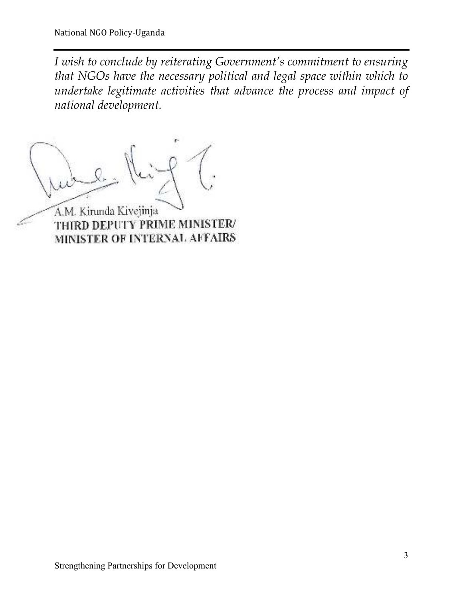*I wish to conclude by reiterating Government's commitment to ensuring that NGOs have the necessary political and legal space within which to undertake legitimate activities that advance the process and impact of national development.* 

A.M. Kirunda Kivejinja

THIRD DEPUTY PRIME MINISTER/ MINISTER OF INTERNAL AFFAIRS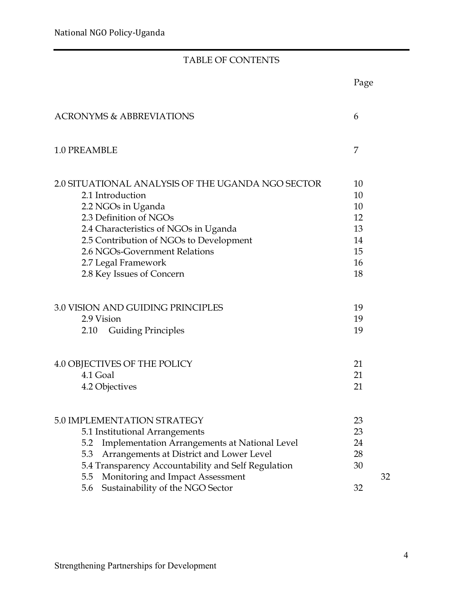#### TABLE OF CONTENTS

|                                                                                                                                                                                                                                                                                                | Page                                               |    |
|------------------------------------------------------------------------------------------------------------------------------------------------------------------------------------------------------------------------------------------------------------------------------------------------|----------------------------------------------------|----|
| <b>ACRONYMS &amp; ABBREVIATIONS</b>                                                                                                                                                                                                                                                            | 6                                                  |    |
| 1.0 PREAMBLE                                                                                                                                                                                                                                                                                   | 7                                                  |    |
| 2.0 SITUATIONAL ANALYSIS OF THE UGANDA NGO SECTOR<br>2.1 Introduction<br>2.2 NGOs in Uganda<br>2.3 Definition of NGOs<br>2.4 Characteristics of NGOs in Uganda<br>2.5 Contribution of NGOs to Development<br>2.6 NGOs-Government Relations<br>2.7 Legal Framework<br>2.8 Key Issues of Concern | 10<br>10<br>10<br>12<br>13<br>14<br>15<br>16<br>18 |    |
| 3.0 VISION AND GUIDING PRINCIPLES<br>2.9 Vision<br><b>Guiding Principles</b><br>2.10                                                                                                                                                                                                           | 19<br>19<br>19                                     |    |
| 4.0 OBJECTIVES OF THE POLICY<br>4.1 Goal<br>4.2 Objectives                                                                                                                                                                                                                                     | 21<br>21<br>21                                     |    |
| 5.0 IMPLEMENTATION STRATEGY<br>5.1 Institutional Arrangements<br>Implementation Arrangements at National Level<br>5.2<br>Arrangements at District and Lower Level<br>5.3<br>5.4 Transparency Accountability and Self Regulation<br>Monitoring and Impact Assessment<br>5.5                     | 23<br>23<br>24<br>28<br>30                         | 32 |
| Sustainability of the NGO Sector<br>5.6                                                                                                                                                                                                                                                        | 32                                                 |    |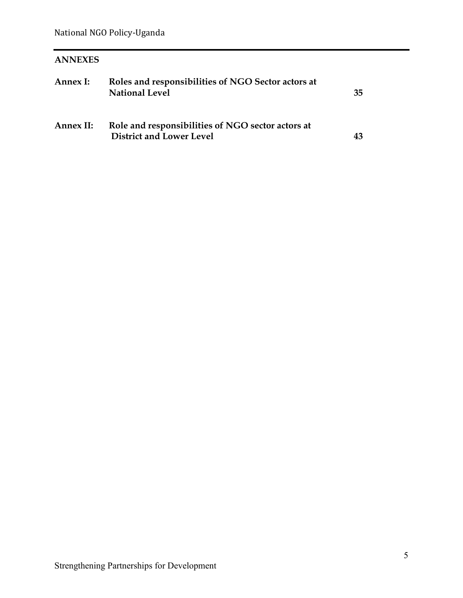#### **ANNEXES**

| Annex I:  | Roles and responsibilities of NGO Sector actors at<br><b>National Level</b>          | 35 |
|-----------|--------------------------------------------------------------------------------------|----|
| Annex II: | Role and responsibilities of NGO sector actors at<br><b>District and Lower Level</b> | 43 |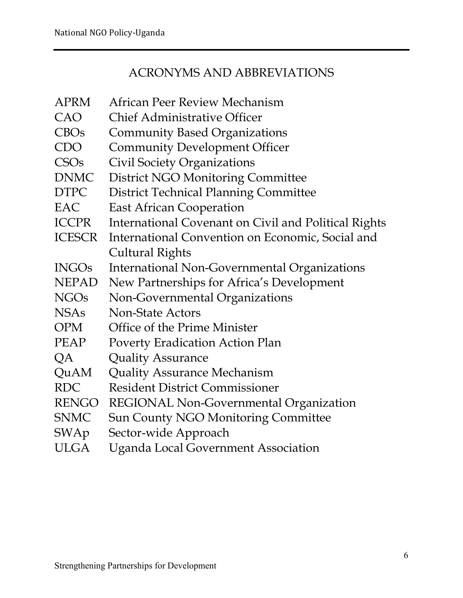#### ACRONYMS AND ABBREVIATIONS

APRM African Peer Review Mechanism CAO Chief Administrative Officer CBOs Community Based Organizations CDO Community Development Officer CSOs Civil Society Organizations DNMC District NGO Monitoring Committee DTPC District Technical Planning Committee EAC East African Cooperation ICCPR International Covenant on Civil and Political Rights ICESCR International Convention on Economic, Social and Cultural Rights INGOs International Non-Governmental Organizations NEPAD New Partnerships for Africa's Development NGOs Non-Governmental Organizations NSAs Non-State Actors OPM Office of the Prime Minister PEAP Poverty Eradication Action Plan QA Quality Assurance QuAM Quality Assurance Mechanism RDC Resident District Commissioner RENGO REGIONAL Non-Governmental Organization SNMC Sun County NGO Monitoring Committee SWAp Sector-wide Approach ULGA Uganda Local Government Association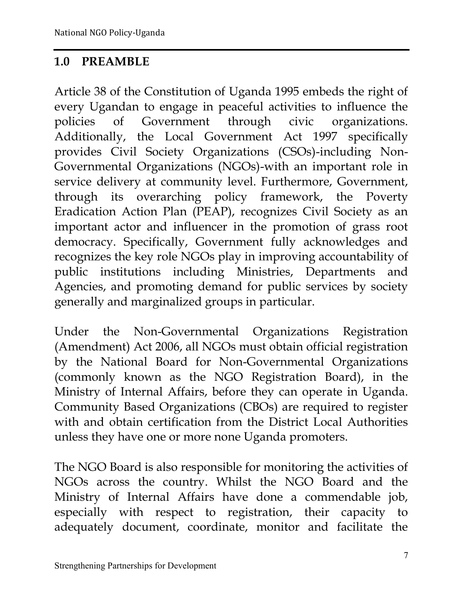#### **1.0 PREAMBLE**

Article 38 of the Constitution of Uganda 1995 embeds the right of every Ugandan to engage in peaceful activities to influence the policies of Government through civic organizations. Additionally, the Local Government Act 1997 specifically provides Civil Society Organizations (CSOs)-including Non-Governmental Organizations (NGOs)-with an important role in service delivery at community level. Furthermore, Government, through its overarching policy framework, the Poverty Eradication Action Plan (PEAP), recognizes Civil Society as an important actor and influencer in the promotion of grass root democracy. Specifically, Government fully acknowledges and recognizes the key role NGOs play in improving accountability of public institutions including Ministries, Departments and Agencies, and promoting demand for public services by society generally and marginalized groups in particular.

Under the Non-Governmental Organizations Registration (Amendment) Act 2006, all NGOs must obtain official registration by the National Board for Non-Governmental Organizations (commonly known as the NGO Registration Board), in the Ministry of Internal Affairs, before they can operate in Uganda. Community Based Organizations (CBOs) are required to register with and obtain certification from the District Local Authorities unless they have one or more none Uganda promoters.

The NGO Board is also responsible for monitoring the activities of NGOs across the country. Whilst the NGO Board and the Ministry of Internal Affairs have done a commendable job, especially with respect to registration, their capacity to adequately document, coordinate, monitor and facilitate the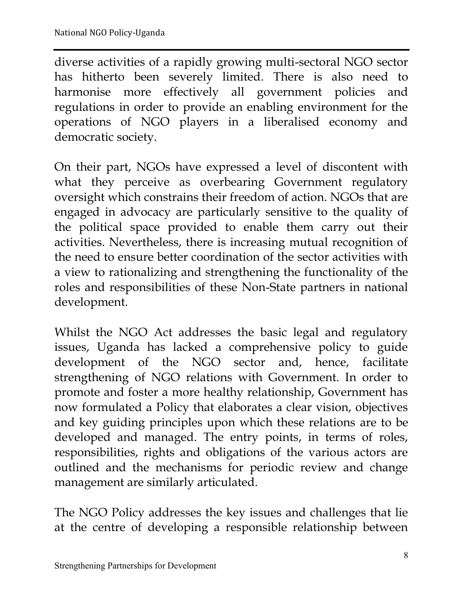diverse activities of a rapidly growing multi-sectoral NGO sector has hitherto been severely limited. There is also need to harmonise more effectively all government policies and regulations in order to provide an enabling environment for the operations of NGO players in a liberalised economy and democratic society.

On their part, NGOs have expressed a level of discontent with what they perceive as overbearing Government regulatory oversight which constrains their freedom of action. NGOs that are engaged in advocacy are particularly sensitive to the quality of the political space provided to enable them carry out their activities. Nevertheless, there is increasing mutual recognition of the need to ensure better coordination of the sector activities with a view to rationalizing and strengthening the functionality of the roles and responsibilities of these Non-State partners in national development.

Whilst the NGO Act addresses the basic legal and regulatory issues, Uganda has lacked a comprehensive policy to guide development of the NGO sector and, hence, facilitate strengthening of NGO relations with Government. In order to promote and foster a more healthy relationship, Government has now formulated a Policy that elaborates a clear vision, objectives and key guiding principles upon which these relations are to be developed and managed. The entry points, in terms of roles, responsibilities, rights and obligations of the various actors are outlined and the mechanisms for periodic review and change management are similarly articulated.

The NGO Policy addresses the key issues and challenges that lie at the centre of developing a responsible relationship between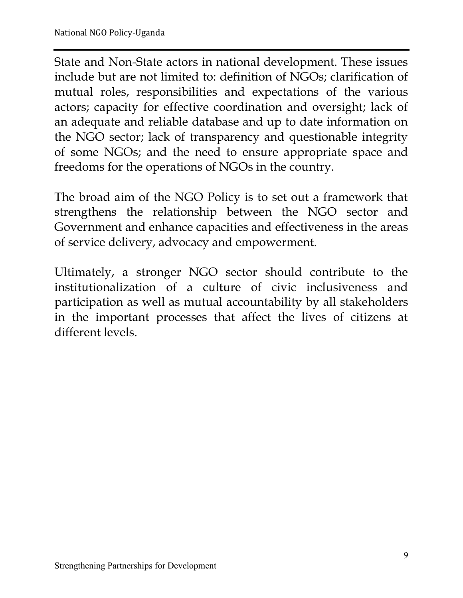State and Non-State actors in national development. These issues include but are not limited to: definition of NGOs; clarification of mutual roles, responsibilities and expectations of the various actors; capacity for effective coordination and oversight; lack of an adequate and reliable database and up to date information on the NGO sector; lack of transparency and questionable integrity of some NGOs; and the need to ensure appropriate space and freedoms for the operations of NGOs in the country.

The broad aim of the NGO Policy is to set out a framework that strengthens the relationship between the NGO sector and Government and enhance capacities and effectiveness in the areas of service delivery, advocacy and empowerment.

Ultimately, a stronger NGO sector should contribute to the institutionalization of a culture of civic inclusiveness and participation as well as mutual accountability by all stakeholders in the important processes that affect the lives of citizens at different levels.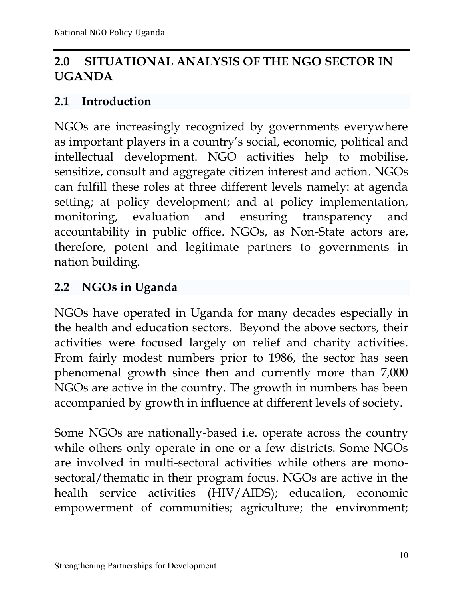# **2.0 SITUATIONAL ANALYSIS OF THE NGO SECTOR IN UGANDA**

#### **2.1 Introduction**

NGOs are increasingly recognized by governments everywhere as important players in a country's social, economic, political and intellectual development. NGO activities help to mobilise, sensitize, consult and aggregate citizen interest and action. NGOs can fulfill these roles at three different levels namely: at agenda setting; at policy development; and at policy implementation, monitoring, evaluation and ensuring transparency and accountability in public office. NGOs, as Non-State actors are, therefore, potent and legitimate partners to governments in nation building.

#### **2.2 NGOs in Uganda**

NGOs have operated in Uganda for many decades especially in the health and education sectors. Beyond the above sectors, their activities were focused largely on relief and charity activities. From fairly modest numbers prior to 1986, the sector has seen phenomenal growth since then and currently more than 7,000 NGOs are active in the country. The growth in numbers has been accompanied by growth in influence at different levels of society.

Some NGOs are nationally-based i.e. operate across the country while others only operate in one or a few districts. Some NGOs are involved in multi-sectoral activities while others are monosectoral/thematic in their program focus. NGOs are active in the health service activities (HIV/AIDS); education, economic empowerment of communities; agriculture; the environment;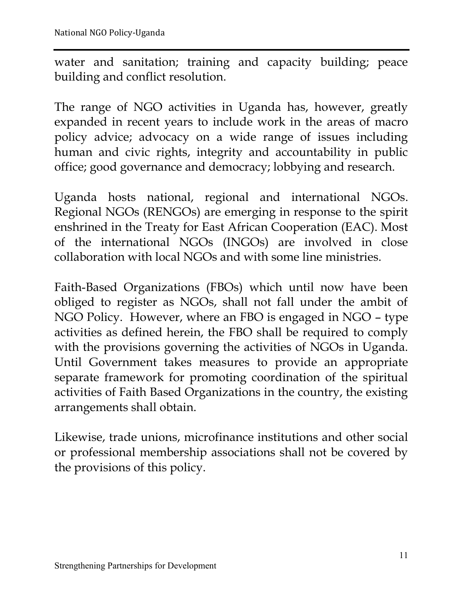water and sanitation; training and capacity building; peace building and conflict resolution.

The range of NGO activities in Uganda has, however, greatly expanded in recent years to include work in the areas of macro policy advice; advocacy on a wide range of issues including human and civic rights, integrity and accountability in public office; good governance and democracy; lobbying and research.

Uganda hosts national, regional and international NGOs. Regional NGOs (RENGOs) are emerging in response to the spirit enshrined in the Treaty for East African Cooperation (EAC). Most of the international NGOs (INGOs) are involved in close collaboration with local NGOs and with some line ministries.

Faith-Based Organizations (FBOs) which until now have been obliged to register as NGOs, shall not fall under the ambit of NGO Policy. However, where an FBO is engaged in NGO – type activities as defined herein, the FBO shall be required to comply with the provisions governing the activities of NGOs in Uganda. Until Government takes measures to provide an appropriate separate framework for promoting coordination of the spiritual activities of Faith Based Organizations in the country, the existing arrangements shall obtain.

Likewise, trade unions, microfinance institutions and other social or professional membership associations shall not be covered by the provisions of this policy.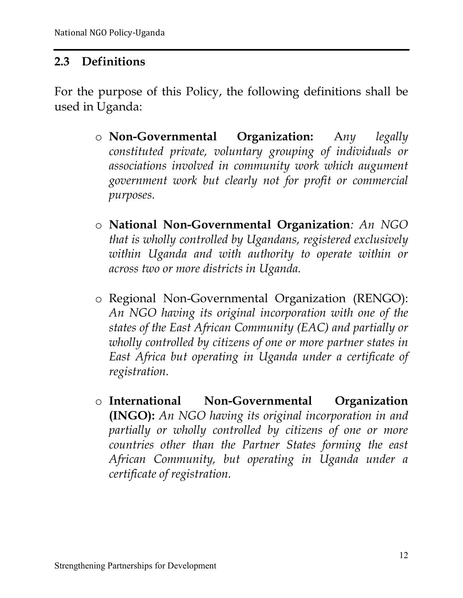#### **2.3 Definitions**

For the purpose of this Policy, the following definitions shall be used in Uganda:

- o **Non-Governmental Organization:** A*ny legally constituted private, voluntary grouping of individuals or associations involved in community work which augument government work but clearly not for profit or commercial purposes.*
- o **National Non-Governmental Organization***: An NGO that is wholly controlled by Ugandans, registered exclusively within Uganda and with authority to operate within or across two or more districts in Uganda.*
- o Regional Non-Governmental Organization (RENGO): *An NGO having its original incorporation with one of the states of the East African Community (EAC) and partially or wholly controlled by citizens of one or more partner states in East Africa but operating in Uganda under a certificate of registration.*
- o **International Non-Governmental Organization (INGO):** *An NGO having its original incorporation in and partially or wholly controlled by citizens of one or more countries other than the Partner States forming the east African Community, but operating in Uganda under a certificate of registration.*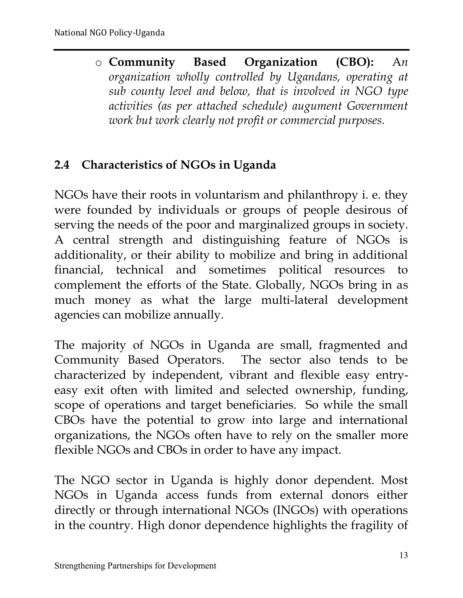o **Community Based Organization (CBO):** A*n organization wholly controlled by Ugandans, operating at sub county level and below, that is involved in NGO type activities (as per attached schedule) augument Government work but work clearly not profit or commercial purposes.*

# **2.4 Characteristics of NGOs in Uganda**

NGOs have their roots in voluntarism and philanthropy i. e. they were founded by individuals or groups of people desirous of serving the needs of the poor and marginalized groups in society. A central strength and distinguishing feature of NGOs is additionality, or their ability to mobilize and bring in additional financial, technical and sometimes political resources to complement the efforts of the State. Globally, NGOs bring in as much money as what the large multi-lateral development agencies can mobilize annually.

The majority of NGOs in Uganda are small, fragmented and Community Based Operators. The sector also tends to be characterized by independent, vibrant and flexible easy entryeasy exit often with limited and selected ownership, funding, scope of operations and target beneficiaries. So while the small CBOs have the potential to grow into large and international organizations, the NGOs often have to rely on the smaller more flexible NGOs and CBOs in order to have any impact.

The NGO sector in Uganda is highly donor dependent. Most NGOs in Uganda access funds from external donors either directly or through international NGOs (INGOs) with operations in the country. High donor dependence highlights the fragility of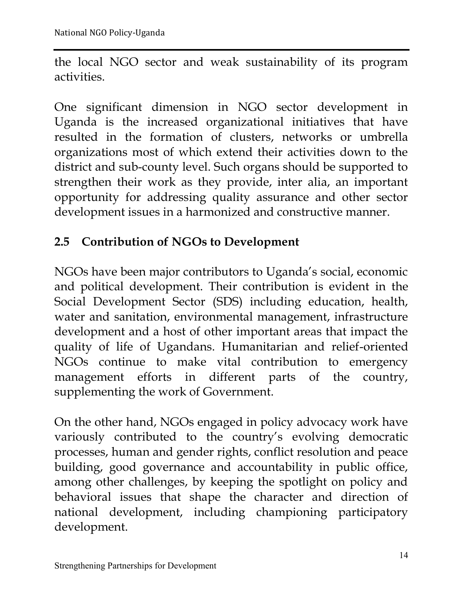the local NGO sector and weak sustainability of its program activities.

One significant dimension in NGO sector development in Uganda is the increased organizational initiatives that have resulted in the formation of clusters, networks or umbrella organizations most of which extend their activities down to the district and sub-county level. Such organs should be supported to strengthen their work as they provide, inter alia, an important opportunity for addressing quality assurance and other sector development issues in a harmonized and constructive manner.

# **2.5 Contribution of NGOs to Development**

NGOs have been major contributors to Uganda's social, economic and political development. Their contribution is evident in the Social Development Sector (SDS) including education, health, water and sanitation, environmental management, infrastructure development and a host of other important areas that impact the quality of life of Ugandans. Humanitarian and relief-oriented NGOs continue to make vital contribution to emergency management efforts in different parts of the country, supplementing the work of Government.

On the other hand, NGOs engaged in policy advocacy work have variously contributed to the country's evolving democratic processes, human and gender rights, conflict resolution and peace building, good governance and accountability in public office, among other challenges, by keeping the spotlight on policy and behavioral issues that shape the character and direction of national development, including championing participatory development.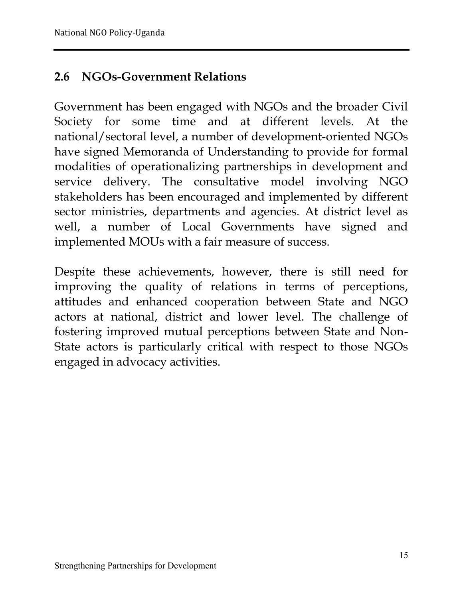#### **2.6 NGOs-Government Relations**

Government has been engaged with NGOs and the broader Civil Society for some time and at different levels. At the national/sectoral level, a number of development-oriented NGOs have signed Memoranda of Understanding to provide for formal modalities of operationalizing partnerships in development and service delivery. The consultative model involving NGO stakeholders has been encouraged and implemented by different sector ministries, departments and agencies. At district level as well, a number of Local Governments have signed and implemented MOUs with a fair measure of success.

Despite these achievements, however, there is still need for improving the quality of relations in terms of perceptions, attitudes and enhanced cooperation between State and NGO actors at national, district and lower level. The challenge of fostering improved mutual perceptions between State and Non-State actors is particularly critical with respect to those NGOs engaged in advocacy activities.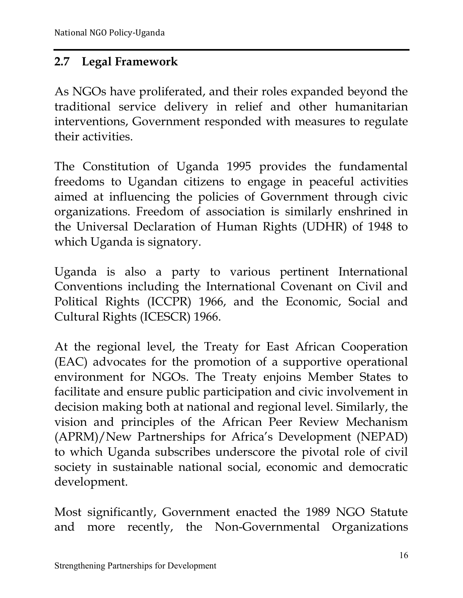#### **2.7 Legal Framework**

As NGOs have proliferated, and their roles expanded beyond the traditional service delivery in relief and other humanitarian interventions, Government responded with measures to regulate their activities.

The Constitution of Uganda 1995 provides the fundamental freedoms to Ugandan citizens to engage in peaceful activities aimed at influencing the policies of Government through civic organizations. Freedom of association is similarly enshrined in the Universal Declaration of Human Rights (UDHR) of 1948 to which Uganda is signatory.

Uganda is also a party to various pertinent International Conventions including the International Covenant on Civil and Political Rights (ICCPR) 1966, and the Economic, Social and Cultural Rights (ICESCR) 1966.

At the regional level, the Treaty for East African Cooperation (EAC) advocates for the promotion of a supportive operational environment for NGOs. The Treaty enjoins Member States to facilitate and ensure public participation and civic involvement in decision making both at national and regional level. Similarly, the vision and principles of the African Peer Review Mechanism (APRM)/New Partnerships for Africa's Development (NEPAD) to which Uganda subscribes underscore the pivotal role of civil society in sustainable national social, economic and democratic development.

Most significantly, Government enacted the 1989 NGO Statute and more recently, the Non-Governmental Organizations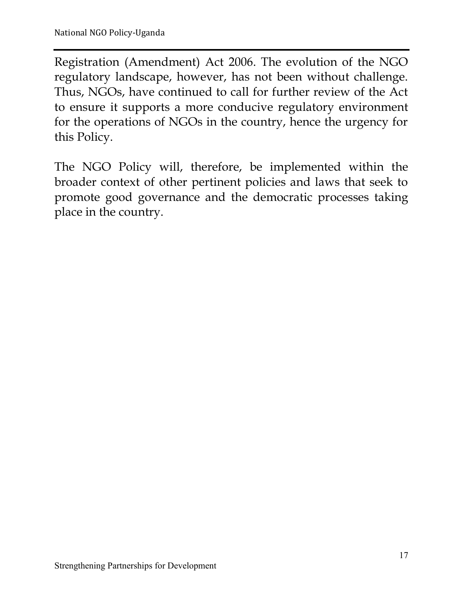Registration (Amendment) Act 2006. The evolution of the NGO regulatory landscape, however, has not been without challenge. Thus, NGOs, have continued to call for further review of the Act to ensure it supports a more conducive regulatory environment for the operations of NGOs in the country, hence the urgency for this Policy.

The NGO Policy will, therefore, be implemented within the broader context of other pertinent policies and laws that seek to promote good governance and the democratic processes taking place in the country.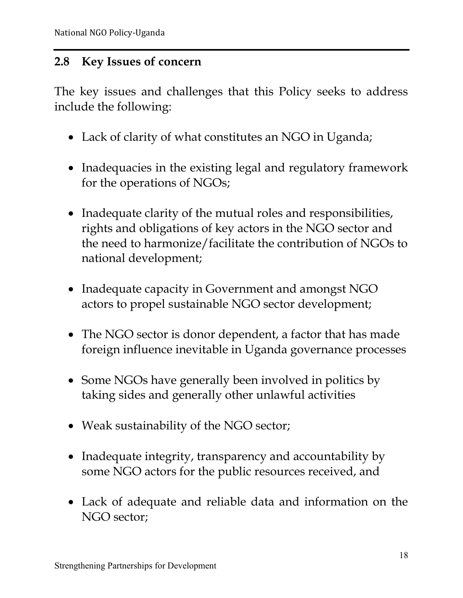#### **2.8 Key Issues of concern**

The key issues and challenges that this Policy seeks to address include the following:

- Lack of clarity of what constitutes an NGO in Uganda;
- Inadequacies in the existing legal and regulatory framework for the operations of NGOs;
- Inadequate clarity of the mutual roles and responsibilities, rights and obligations of key actors in the NGO sector and the need to harmonize/facilitate the contribution of NGOs to national development;
- Inadequate capacity in Government and amongst NGO actors to propel sustainable NGO sector development;
- The NGO sector is donor dependent, a factor that has made foreign influence inevitable in Uganda governance processes
- Some NGOs have generally been involved in politics by taking sides and generally other unlawful activities
- Weak sustainability of the NGO sector;
- Inadequate integrity, transparency and accountability by some NGO actors for the public resources received, and
- Lack of adequate and reliable data and information on the NGO sector;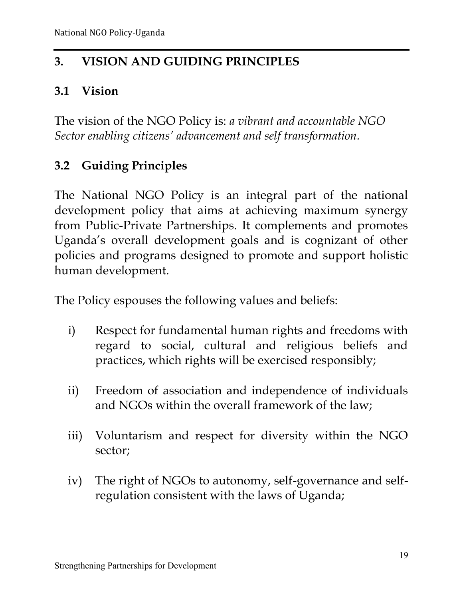# **3. VISION AND GUIDING PRINCIPLES**

#### **3.1 Vision**

The vision of the NGO Policy is: *a vibrant and accountable NGO Sector enabling citizens' advancement and self transformation.*

# **3.2 Guiding Principles**

The National NGO Policy is an integral part of the national development policy that aims at achieving maximum synergy from Public-Private Partnerships. It complements and promotes Uganda's overall development goals and is cognizant of other policies and programs designed to promote and support holistic human development.

The Policy espouses the following values and beliefs:

- i) Respect for fundamental human rights and freedoms with regard to social, cultural and religious beliefs and practices, which rights will be exercised responsibly;
- ii) Freedom of association and independence of individuals and NGOs within the overall framework of the law;
- iii) Voluntarism and respect for diversity within the NGO sector;
- iv) The right of NGOs to autonomy, self-governance and selfregulation consistent with the laws of Uganda;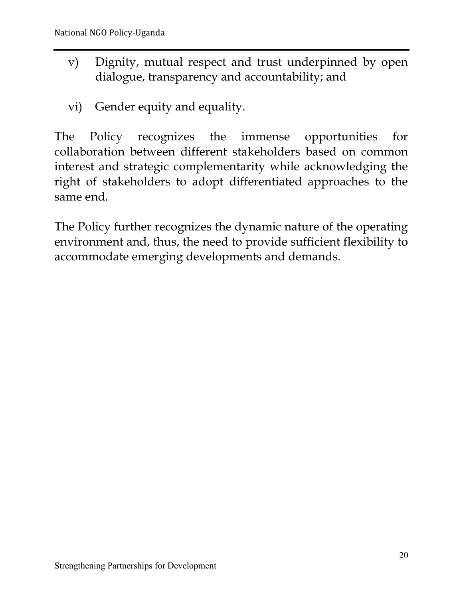- v) Dignity, mutual respect and trust underpinned by open dialogue, transparency and accountability; and
- vi) Gender equity and equality.

The Policy recognizes the immense opportunities for collaboration between different stakeholders based on common interest and strategic complementarity while acknowledging the right of stakeholders to adopt differentiated approaches to the same end.

The Policy further recognizes the dynamic nature of the operating environment and, thus, the need to provide sufficient flexibility to accommodate emerging developments and demands.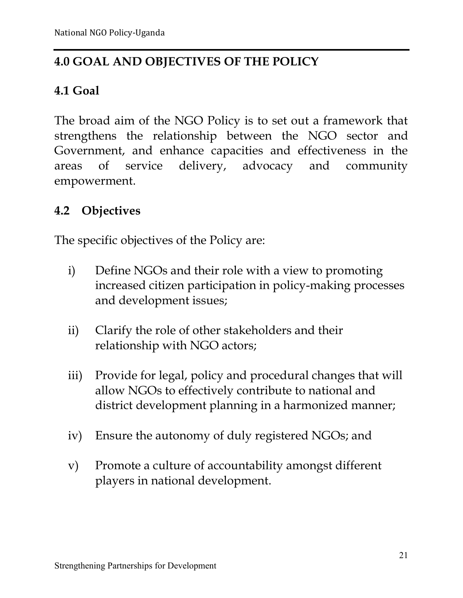# **4.0 GOAL AND OBJECTIVES OF THE POLICY**

# **4.1 Goal**

The broad aim of the NGO Policy is to set out a framework that strengthens the relationship between the NGO sector and Government, and enhance capacities and effectiveness in the areas of service delivery, advocacy and community empowerment.

# **4.2 Objectives**

The specific objectives of the Policy are:

- i) Define NGOs and their role with a view to promoting increased citizen participation in policy-making processes and development issues;
- ii) Clarify the role of other stakeholders and their relationship with NGO actors;
- iii) Provide for legal, policy and procedural changes that will allow NGOs to effectively contribute to national and district development planning in a harmonized manner;
- iv) Ensure the autonomy of duly registered NGOs; and
- v) Promote a culture of accountability amongst different players in national development.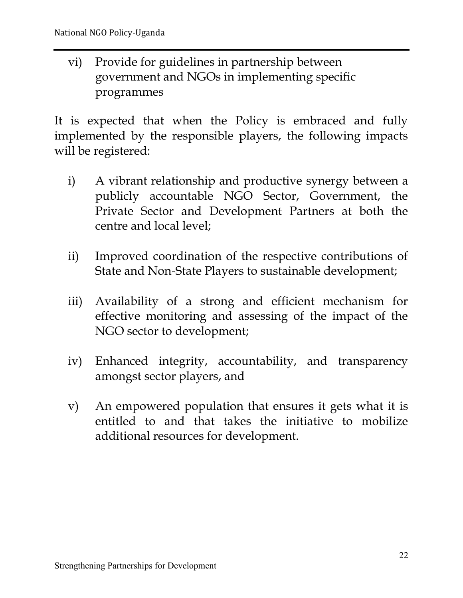vi) Provide for guidelines in partnership between government and NGOs in implementing specific programmes

It is expected that when the Policy is embraced and fully implemented by the responsible players, the following impacts will be registered:

- i) A vibrant relationship and productive synergy between a publicly accountable NGO Sector, Government, the Private Sector and Development Partners at both the centre and local level;
- ii) Improved coordination of the respective contributions of State and Non-State Players to sustainable development;
- iii) Availability of a strong and efficient mechanism for effective monitoring and assessing of the impact of the NGO sector to development;
- iv) Enhanced integrity, accountability, and transparency amongst sector players, and
- v) An empowered population that ensures it gets what it is entitled to and that takes the initiative to mobilize additional resources for development.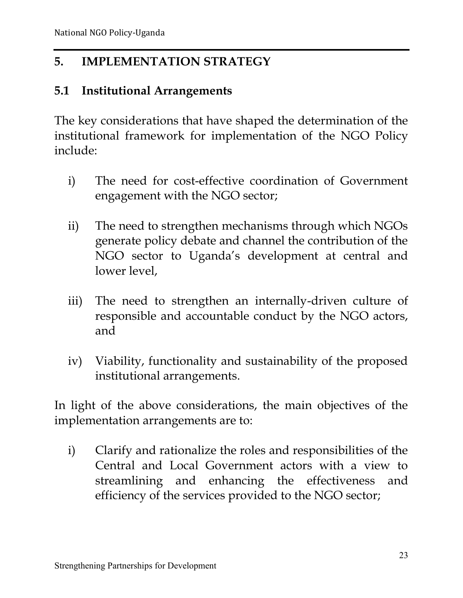# **5. IMPLEMENTATION STRATEGY**

#### **5.1 Institutional Arrangements**

The key considerations that have shaped the determination of the institutional framework for implementation of the NGO Policy include:

- i) The need for cost-effective coordination of Government engagement with the NGO sector;
- ii) The need to strengthen mechanisms through which NGOs generate policy debate and channel the contribution of the NGO sector to Uganda's development at central and lower level,
- iii) The need to strengthen an internally-driven culture of responsible and accountable conduct by the NGO actors, and
- iv) Viability, functionality and sustainability of the proposed institutional arrangements.

In light of the above considerations, the main objectives of the implementation arrangements are to:

i) Clarify and rationalize the roles and responsibilities of the Central and Local Government actors with a view to streamlining and enhancing the effectiveness and efficiency of the services provided to the NGO sector;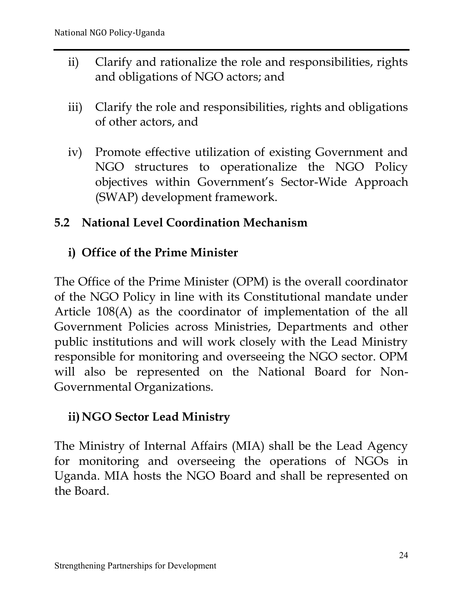- ii) Clarify and rationalize the role and responsibilities, rights and obligations of NGO actors; and
- iii) Clarify the role and responsibilities, rights and obligations of other actors, and
- iv) Promote effective utilization of existing Government and NGO structures to operationalize the NGO Policy objectives within Government's Sector-Wide Approach (SWAP) development framework.

#### **5.2 National Level Coordination Mechanism**

# **i) Office of the Prime Minister**

The Office of the Prime Minister (OPM) is the overall coordinator of the NGO Policy in line with its Constitutional mandate under Article 108(A) as the coordinator of implementation of the all Government Policies across Ministries, Departments and other public institutions and will work closely with the Lead Ministry responsible for monitoring and overseeing the NGO sector. OPM will also be represented on the National Board for Non-Governmental Organizations.

# **ii)NGO Sector Lead Ministry**

The Ministry of Internal Affairs (MIA) shall be the Lead Agency for monitoring and overseeing the operations of NGOs in Uganda. MIA hosts the NGO Board and shall be represented on the Board.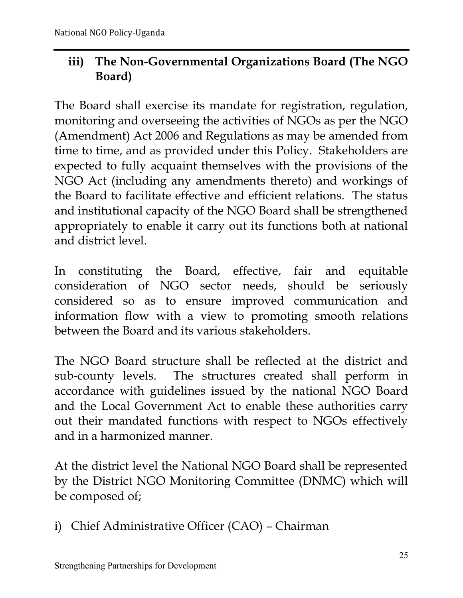# **iii) The Non-Governmental Organizations Board (The NGO Board)**

The Board shall exercise its mandate for registration, regulation, monitoring and overseeing the activities of NGOs as per the NGO (Amendment) Act 2006 and Regulations as may be amended from time to time, and as provided under this Policy. Stakeholders are expected to fully acquaint themselves with the provisions of the NGO Act (including any amendments thereto) and workings of the Board to facilitate effective and efficient relations. The status and institutional capacity of the NGO Board shall be strengthened appropriately to enable it carry out its functions both at national and district level.

In constituting the Board, effective, fair and equitable consideration of NGO sector needs, should be seriously considered so as to ensure improved communication and information flow with a view to promoting smooth relations between the Board and its various stakeholders.

The NGO Board structure shall be reflected at the district and sub-county levels. The structures created shall perform in accordance with guidelines issued by the national NGO Board and the Local Government Act to enable these authorities carry out their mandated functions with respect to NGOs effectively and in a harmonized manner.

At the district level the National NGO Board shall be represented by the District NGO Monitoring Committee (DNMC) which will be composed of;

i) Chief Administrative Officer (CAO) – Chairman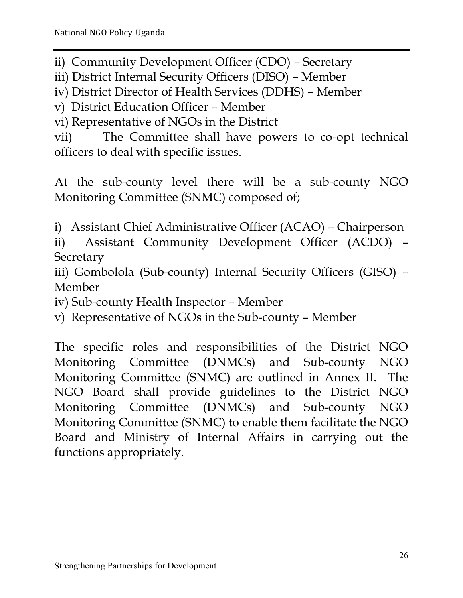ii) Community Development Officer (CDO) – Secretary

iii) District Internal Security Officers (DISO) – Member

iv) District Director of Health Services (DDHS) – Member

v) District Education Officer – Member

vi) Representative of NGOs in the District

vii) The Committee shall have powers to co-opt technical officers to deal with specific issues.

At the sub-county level there will be a sub-county NGO Monitoring Committee (SNMC) composed of;

i) Assistant Chief Administrative Officer (ACAO) – Chairperson

ii) Assistant Community Development Officer (ACDO) – **Secretary** 

iii) Gombolola (Sub-county) Internal Security Officers (GISO) – Member

iv) Sub-county Health Inspector – Member

v) Representative of NGOs in the Sub-county – Member

The specific roles and responsibilities of the District NGO Monitoring Committee (DNMCs) and Sub-county NGO Monitoring Committee (SNMC) are outlined in Annex II. The NGO Board shall provide guidelines to the District NGO Monitoring Committee (DNMCs) and Sub-county NGO Monitoring Committee (SNMC) to enable them facilitate the NGO Board and Ministry of Internal Affairs in carrying out the functions appropriately.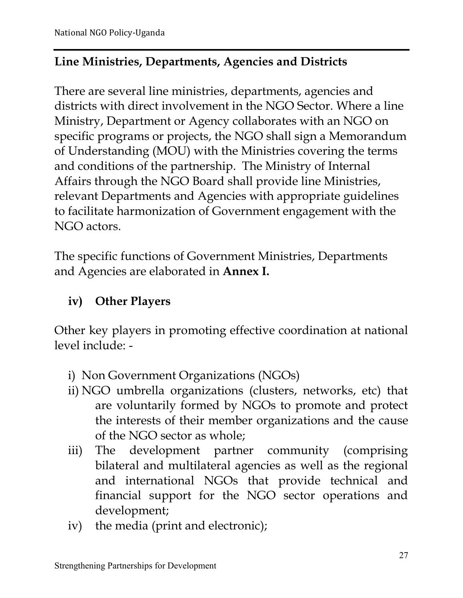# **Line Ministries, Departments, Agencies and Districts**

There are several line ministries, departments, agencies and districts with direct involvement in the NGO Sector. Where a line Ministry, Department or Agency collaborates with an NGO on specific programs or projects, the NGO shall sign a Memorandum of Understanding (MOU) with the Ministries covering the terms and conditions of the partnership. The Ministry of Internal Affairs through the NGO Board shall provide line Ministries, relevant Departments and Agencies with appropriate guidelines to facilitate harmonization of Government engagement with the NGO actors.

The specific functions of Government Ministries, Departments and Agencies are elaborated in **Annex I.** 

# **iv) Other Players**

Other key players in promoting effective coordination at national level include: -

- i) Non Government Organizations (NGOs)
- ii) NGO umbrella organizations (clusters, networks, etc) that are voluntarily formed by NGOs to promote and protect the interests of their member organizations and the cause of the NGO sector as whole;
- iii) The development partner community (comprising bilateral and multilateral agencies as well as the regional and international NGOs that provide technical and financial support for the NGO sector operations and development;
- iv) the media (print and electronic);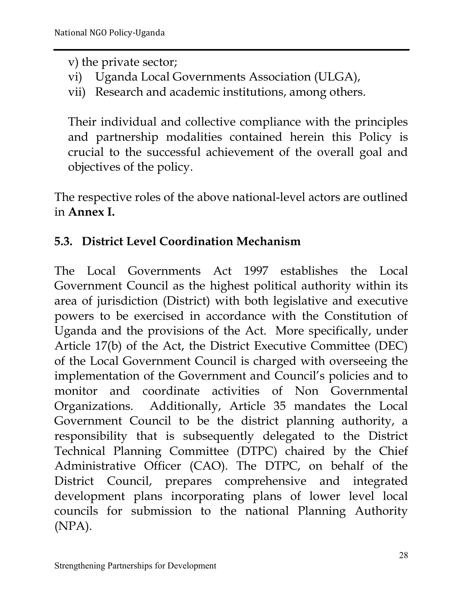v) the private sector;

- vi) Uganda Local Governments Association (ULGA),
- vii) Research and academic institutions, among others.

Their individual and collective compliance with the principles and partnership modalities contained herein this Policy is crucial to the successful achievement of the overall goal and objectives of the policy.

The respective roles of the above national-level actors are outlined in **Annex I.** 

# **5.3. District Level Coordination Mechanism**

The Local Governments Act 1997 establishes the Local Government Council as the highest political authority within its area of jurisdiction (District) with both legislative and executive powers to be exercised in accordance with the Constitution of Uganda and the provisions of the Act. More specifically, under Article 17(b) of the Act, the District Executive Committee (DEC) of the Local Government Council is charged with overseeing the implementation of the Government and Council's policies and to monitor and coordinate activities of Non Governmental Organizations. Additionally, Article 35 mandates the Local Government Council to be the district planning authority, a responsibility that is subsequently delegated to the District Technical Planning Committee (DTPC) chaired by the Chief Administrative Officer (CAO). The DTPC, on behalf of the District Council, prepares comprehensive and integrated development plans incorporating plans of lower level local councils for submission to the national Planning Authority (NPA).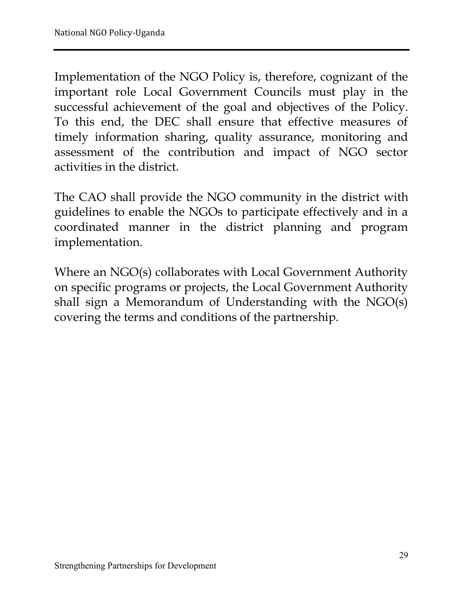Implementation of the NGO Policy is, therefore, cognizant of the important role Local Government Councils must play in the successful achievement of the goal and objectives of the Policy. To this end, the DEC shall ensure that effective measures of timely information sharing, quality assurance, monitoring and assessment of the contribution and impact of NGO sector activities in the district.

The CAO shall provide the NGO community in the district with guidelines to enable the NGOs to participate effectively and in a coordinated manner in the district planning and program implementation.

Where an NGO(s) collaborates with Local Government Authority on specific programs or projects, the Local Government Authority shall sign a Memorandum of Understanding with the NGO(s) covering the terms and conditions of the partnership.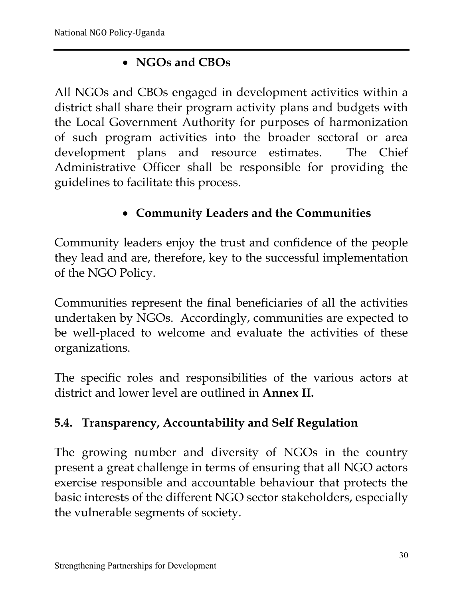# **NGOs and CBOs**

All NGOs and CBOs engaged in development activities within a district shall share their program activity plans and budgets with the Local Government Authority for purposes of harmonization of such program activities into the broader sectoral or area development plans and resource estimates. The Chief Administrative Officer shall be responsible for providing the guidelines to facilitate this process.

# **Community Leaders and the Communities**

Community leaders enjoy the trust and confidence of the people they lead and are, therefore, key to the successful implementation of the NGO Policy.

Communities represent the final beneficiaries of all the activities undertaken by NGOs. Accordingly, communities are expected to be well-placed to welcome and evaluate the activities of these organizations.

The specific roles and responsibilities of the various actors at district and lower level are outlined in **Annex II.**

# **5.4. Transparency, Accountability and Self Regulation**

The growing number and diversity of NGOs in the country present a great challenge in terms of ensuring that all NGO actors exercise responsible and accountable behaviour that protects the basic interests of the different NGO sector stakeholders, especially the vulnerable segments of society.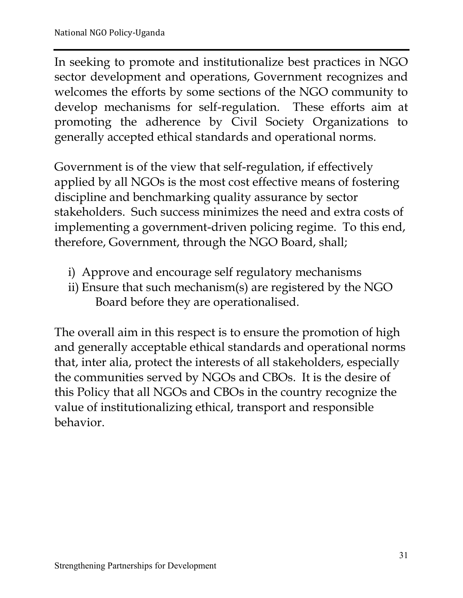In seeking to promote and institutionalize best practices in NGO sector development and operations, Government recognizes and welcomes the efforts by some sections of the NGO community to develop mechanisms for self-regulation. These efforts aim at promoting the adherence by Civil Society Organizations to generally accepted ethical standards and operational norms.

Government is of the view that self-regulation, if effectively applied by all NGOs is the most cost effective means of fostering discipline and benchmarking quality assurance by sector stakeholders. Such success minimizes the need and extra costs of implementing a government-driven policing regime. To this end, therefore, Government, through the NGO Board, shall;

- i) Approve and encourage self regulatory mechanisms
- ii) Ensure that such mechanism(s) are registered by the NGO Board before they are operationalised.

The overall aim in this respect is to ensure the promotion of high and generally acceptable ethical standards and operational norms that, inter alia, protect the interests of all stakeholders, especially the communities served by NGOs and CBOs. It is the desire of this Policy that all NGOs and CBOs in the country recognize the value of institutionalizing ethical, transport and responsible behavior.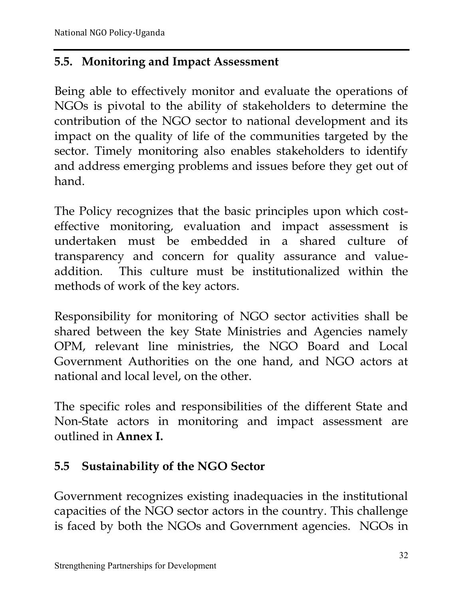# **5.5. Monitoring and Impact Assessment**

Being able to effectively monitor and evaluate the operations of NGOs is pivotal to the ability of stakeholders to determine the contribution of the NGO sector to national development and its impact on the quality of life of the communities targeted by the sector. Timely monitoring also enables stakeholders to identify and address emerging problems and issues before they get out of hand.

The Policy recognizes that the basic principles upon which costeffective monitoring, evaluation and impact assessment is undertaken must be embedded in a shared culture of transparency and concern for quality assurance and valueaddition. This culture must be institutionalized within the methods of work of the key actors.

Responsibility for monitoring of NGO sector activities shall be shared between the key State Ministries and Agencies namely OPM, relevant line ministries, the NGO Board and Local Government Authorities on the one hand, and NGO actors at national and local level, on the other.

The specific roles and responsibilities of the different State and Non-State actors in monitoring and impact assessment are outlined in **Annex I.**

# **5.5 Sustainability of the NGO Sector**

Government recognizes existing inadequacies in the institutional capacities of the NGO sector actors in the country. This challenge is faced by both the NGOs and Government agencies. NGOs in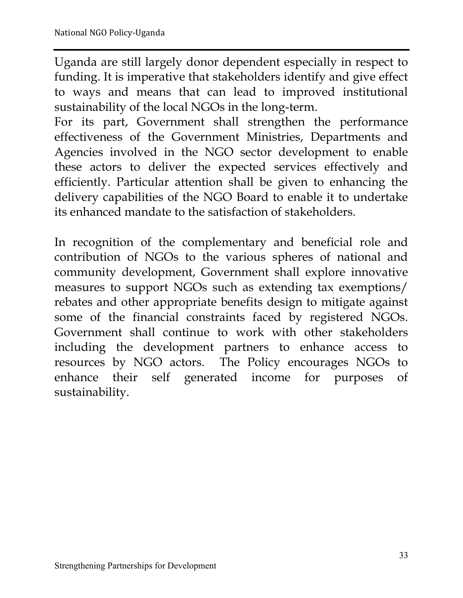Uganda are still largely donor dependent especially in respect to funding. It is imperative that stakeholders identify and give effect to ways and means that can lead to improved institutional sustainability of the local NGOs in the long-term.

For its part, Government shall strengthen the performance effectiveness of the Government Ministries, Departments and Agencies involved in the NGO sector development to enable these actors to deliver the expected services effectively and efficiently. Particular attention shall be given to enhancing the delivery capabilities of the NGO Board to enable it to undertake its enhanced mandate to the satisfaction of stakeholders.

In recognition of the complementary and beneficial role and contribution of NGOs to the various spheres of national and community development, Government shall explore innovative measures to support NGOs such as extending tax exemptions/ rebates and other appropriate benefits design to mitigate against some of the financial constraints faced by registered NGOs. Government shall continue to work with other stakeholders including the development partners to enhance access to resources by NGO actors. The Policy encourages NGOs to enhance their self generated income for purposes of sustainability.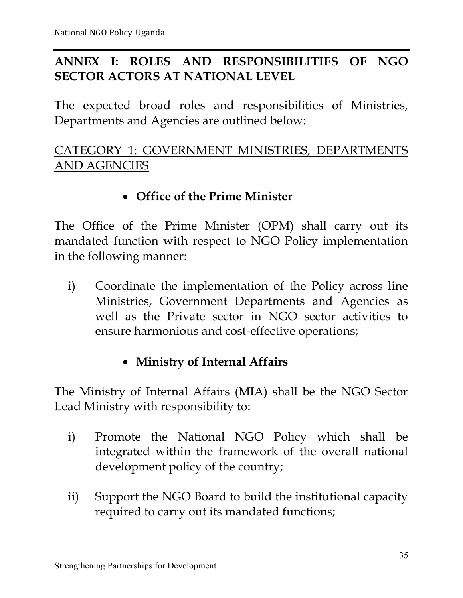# **ANNEX I: ROLES AND RESPONSIBILITIES OF NGO SECTOR ACTORS AT NATIONAL LEVEL**

The expected broad roles and responsibilities of Ministries, Departments and Agencies are outlined below:

# CATEGORY 1: GOVERNMENT MINISTRIES, DEPARTMENTS AND AGENCIES

#### **Office of the Prime Minister**

The Office of the Prime Minister (OPM) shall carry out its mandated function with respect to NGO Policy implementation in the following manner:

i) Coordinate the implementation of the Policy across line Ministries, Government Departments and Agencies as well as the Private sector in NGO sector activities to ensure harmonious and cost-effective operations;

#### **Ministry of Internal Affairs**

The Ministry of Internal Affairs (MIA) shall be the NGO Sector Lead Ministry with responsibility to:

- i) Promote the National NGO Policy which shall be integrated within the framework of the overall national development policy of the country;
- ii) Support the NGO Board to build the institutional capacity required to carry out its mandated functions;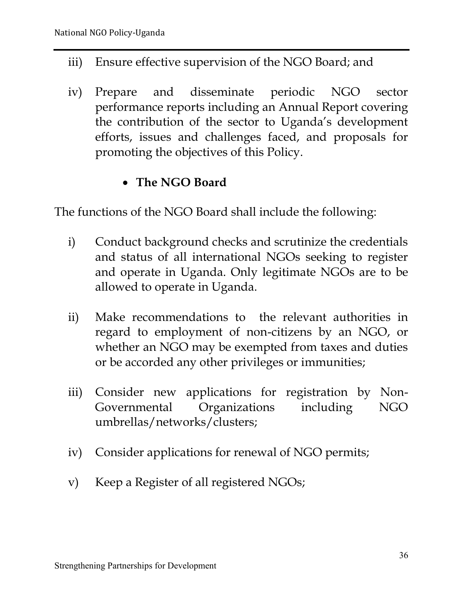- iii) Ensure effective supervision of the NGO Board; and
- iv) Prepare and disseminate periodic NGO sector performance reports including an Annual Report covering the contribution of the sector to Uganda's development efforts, issues and challenges faced, and proposals for promoting the objectives of this Policy.

#### **The NGO Board**

The functions of the NGO Board shall include the following:

- i) Conduct background checks and scrutinize the credentials and status of all international NGOs seeking to register and operate in Uganda. Only legitimate NGOs are to be allowed to operate in Uganda.
- ii) Make recommendations to the relevant authorities in regard to employment of non-citizens by an NGO, or whether an NGO may be exempted from taxes and duties or be accorded any other privileges or immunities;
- iii) Consider new applications for registration by Non-Governmental Organizations including NGO umbrellas/networks/clusters;
- iv) Consider applications for renewal of NGO permits;
- v) Keep a Register of all registered NGOs;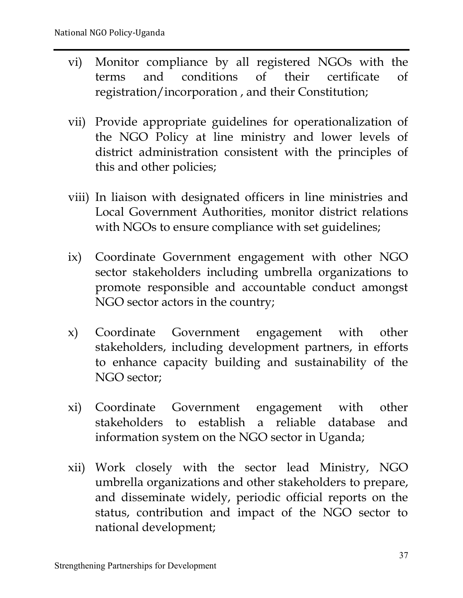- vi) Monitor compliance by all registered NGOs with the terms and conditions of their certificate of registration/incorporation , and their Constitution;
- vii) Provide appropriate guidelines for operationalization of the NGO Policy at line ministry and lower levels of district administration consistent with the principles of this and other policies;
- viii) In liaison with designated officers in line ministries and Local Government Authorities, monitor district relations with NGOs to ensure compliance with set guidelines;
- ix) Coordinate Government engagement with other NGO sector stakeholders including umbrella organizations to promote responsible and accountable conduct amongst NGO sector actors in the country;
- x) Coordinate Government engagement with other stakeholders, including development partners, in efforts to enhance capacity building and sustainability of the NGO sector;
- xi) Coordinate Government engagement with other stakeholders to establish a reliable database and information system on the NGO sector in Uganda;
- xii) Work closely with the sector lead Ministry, NGO umbrella organizations and other stakeholders to prepare, and disseminate widely, periodic official reports on the status, contribution and impact of the NGO sector to national development;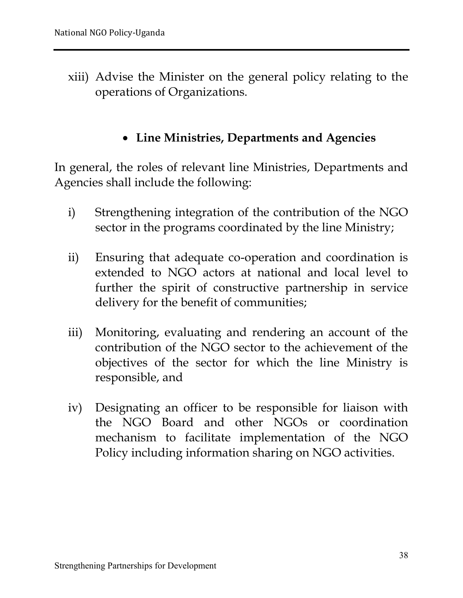xiii) Advise the Minister on the general policy relating to the operations of Organizations.

#### **Line Ministries, Departments and Agencies**

In general, the roles of relevant line Ministries, Departments and Agencies shall include the following:

- i) Strengthening integration of the contribution of the NGO sector in the programs coordinated by the line Ministry;
- ii) Ensuring that adequate co-operation and coordination is extended to NGO actors at national and local level to further the spirit of constructive partnership in service delivery for the benefit of communities;
- iii) Monitoring, evaluating and rendering an account of the contribution of the NGO sector to the achievement of the objectives of the sector for which the line Ministry is responsible, and
- iv) Designating an officer to be responsible for liaison with the NGO Board and other NGOs or coordination mechanism to facilitate implementation of the NGO Policy including information sharing on NGO activities.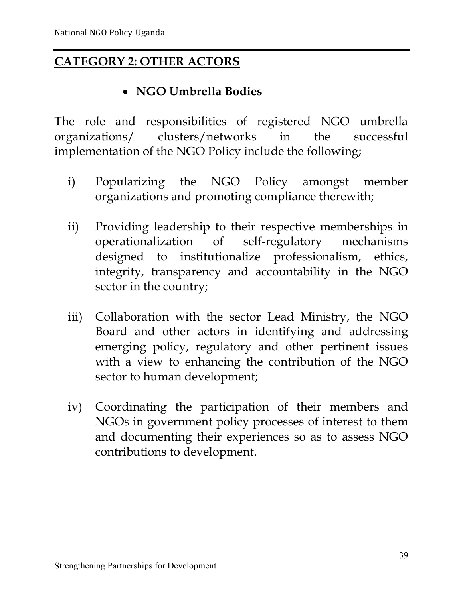# **CATEGORY 2: OTHER ACTORS**

# **NGO Umbrella Bodies**

The role and responsibilities of registered NGO umbrella organizations/ clusters/networks in the successful implementation of the NGO Policy include the following;

- i) Popularizing the NGO Policy amongst member organizations and promoting compliance therewith;
- ii) Providing leadership to their respective memberships in operationalization of self-regulatory mechanisms operationalization of self-regulatory mechanisms designed to institutionalize professionalism, ethics, integrity, transparency and accountability in the NGO sector in the country;
- iii) Collaboration with the sector Lead Ministry, the NGO Board and other actors in identifying and addressing emerging policy, regulatory and other pertinent issues with a view to enhancing the contribution of the NGO sector to human development;
- iv) Coordinating the participation of their members and NGOs in government policy processes of interest to them and documenting their experiences so as to assess NGO contributions to development.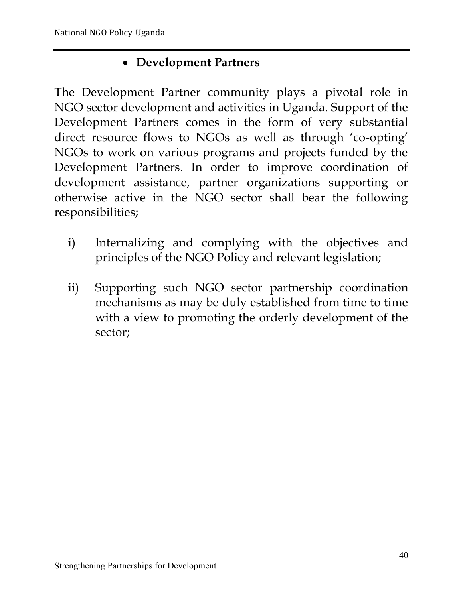# **Development Partners**

The Development Partner community plays a pivotal role in NGO sector development and activities in Uganda. Support of the Development Partners comes in the form of very substantial direct resource flows to NGOs as well as through 'co-opting' NGOs to work on various programs and projects funded by the Development Partners. In order to improve coordination of development assistance, partner organizations supporting or otherwise active in the NGO sector shall bear the following responsibilities;

- i) Internalizing and complying with the objectives and principles of the NGO Policy and relevant legislation;
- ii) Supporting such NGO sector partnership coordination mechanisms as may be duly established from time to time with a view to promoting the orderly development of the sector;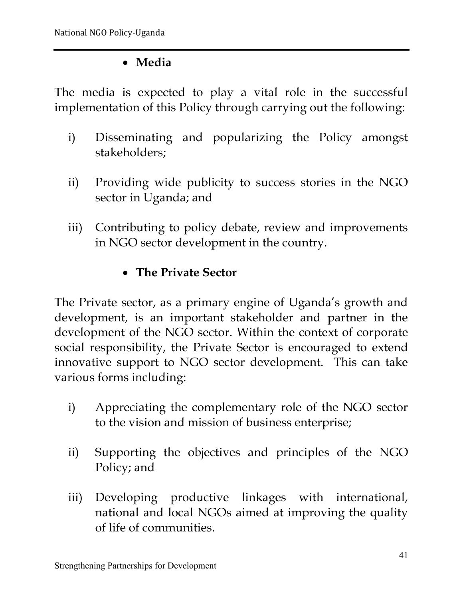# **Media**

The media is expected to play a vital role in the successful implementation of this Policy through carrying out the following:

- i) Disseminating and popularizing the Policy amongst stakeholders;
- ii) Providing wide publicity to success stories in the NGO sector in Uganda; and
- iii) Contributing to policy debate, review and improvements in NGO sector development in the country.

# **The Private Sector**

The Private sector, as a primary engine of Uganda's growth and development, is an important stakeholder and partner in the development of the NGO sector. Within the context of corporate social responsibility, the Private Sector is encouraged to extend innovative support to NGO sector development. This can take various forms including:

- i) Appreciating the complementary role of the NGO sector to the vision and mission of business enterprise;
- ii) Supporting the objectives and principles of the NGO Policy; and
- iii) Developing productive linkages with international, national and local NGOs aimed at improving the quality of life of communities.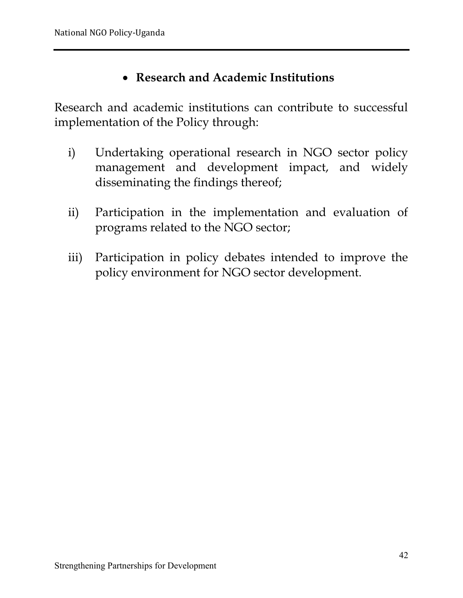#### **Research and Academic Institutions**

Research and academic institutions can contribute to successful implementation of the Policy through:

- i) Undertaking operational research in NGO sector policy management and development impact, and widely disseminating the findings thereof;
- ii) Participation in the implementation and evaluation of programs related to the NGO sector;
- iii) Participation in policy debates intended to improve the policy environment for NGO sector development.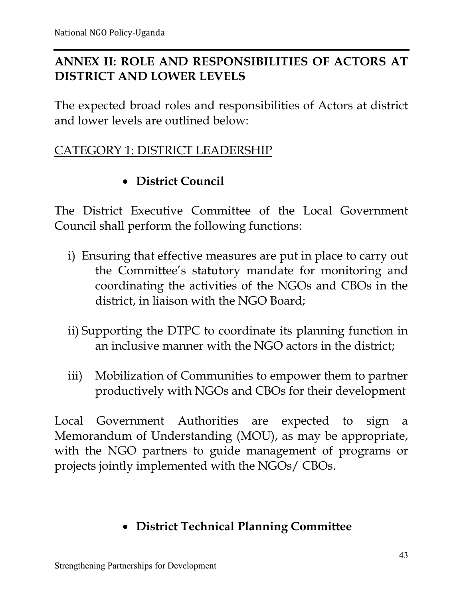# **ANNEX II: ROLE AND RESPONSIBILITIES OF ACTORS AT DISTRICT AND LOWER LEVELS**

The expected broad roles and responsibilities of Actors at district and lower levels are outlined below:

#### CATEGORY 1: DISTRICT LEADERSHIP

# **District Council**

The District Executive Committee of the Local Government Council shall perform the following functions:

- i) Ensuring that effective measures are put in place to carry out the Committee's statutory mandate for monitoring and coordinating the activities of the NGOs and CBOs in the district, in liaison with the NGO Board;
- ii) Supporting the DTPC to coordinate its planning function in an inclusive manner with the NGO actors in the district;
- iii) Mobilization of Communities to empower them to partner productively with NGOs and CBOs for their development

Local Government Authorities are expected to sign a Memorandum of Understanding (MOU), as may be appropriate, with the NGO partners to guide management of programs or projects jointly implemented with the NGOs/ CBOs.

# **District Technical Planning Committee**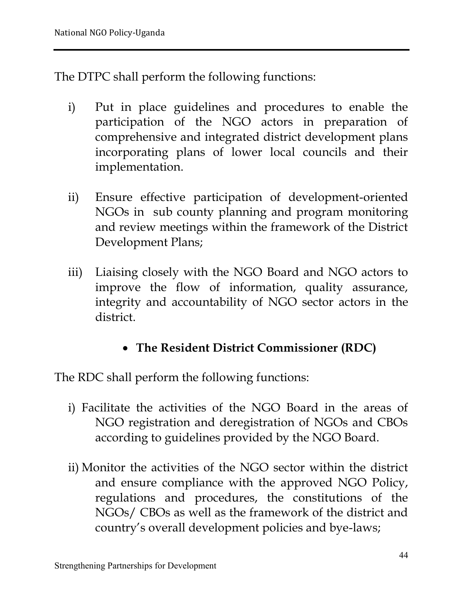The DTPC shall perform the following functions:

- i) Put in place guidelines and procedures to enable the participation of the NGO actors in preparation of comprehensive and integrated district development plans incorporating plans of lower local councils and their implementation.
- ii) Ensure effective participation of development-oriented NGOs in sub county planning and program monitoring and review meetings within the framework of the District Development Plans;
- iii) Liaising closely with the NGO Board and NGO actors to improve the flow of information, quality assurance, integrity and accountability of NGO sector actors in the district.
	- **The Resident District Commissioner (RDC)**

The RDC shall perform the following functions:

- i) Facilitate the activities of the NGO Board in the areas of NGO registration and deregistration of NGOs and CBOs according to guidelines provided by the NGO Board.
- ii) Monitor the activities of the NGO sector within the district and ensure compliance with the approved NGO Policy, regulations and procedures, the constitutions of the NGOs/ CBOs as well as the framework of the district and country's overall development policies and bye-laws;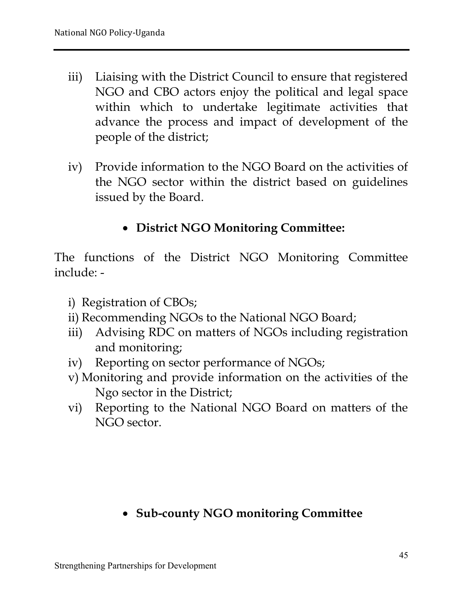- iii) Liaising with the District Council to ensure that registered NGO and CBO actors enjoy the political and legal space within which to undertake legitimate activities that advance the process and impact of development of the people of the district;
- iv) Provide information to the NGO Board on the activities of the NGO sector within the district based on guidelines issued by the Board.

# **District NGO Monitoring Committee:**

The functions of the District NGO Monitoring Committee include: -

- i) Registration of CBOs;
- ii) Recommending NGOs to the National NGO Board;
- iii) Advising RDC on matters of NGOs including registration and monitoring;
- iv) Reporting on sector performance of NGOs;
- v) Monitoring and provide information on the activities of the Ngo sector in the District;
- vi) Reporting to the National NGO Board on matters of the NGO sector.

# **Sub-county NGO monitoring Committee**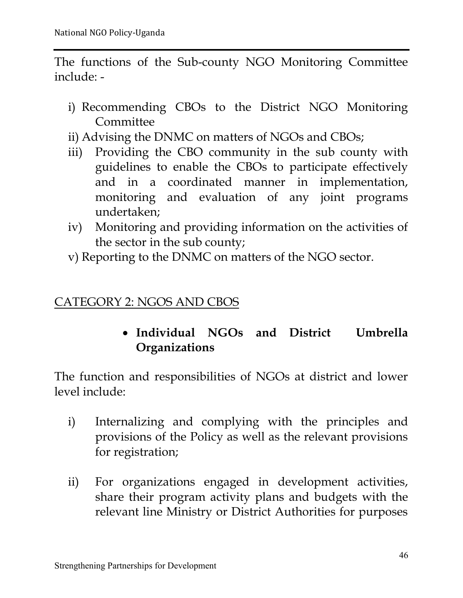The functions of the Sub-county NGO Monitoring Committee include: -

- i) Recommending CBOs to the District NGO Monitoring **Committee**
- ii) Advising the DNMC on matters of NGOs and CBOs;
- iii) Providing the CBO community in the sub county with guidelines to enable the CBOs to participate effectively and in a coordinated manner in implementation, monitoring and evaluation of any joint programs undertaken;
- iv) Monitoring and providing information on the activities of the sector in the sub county;
- v) Reporting to the DNMC on matters of the NGO sector.

#### CATEGORY 2: NGOS AND CBOS

#### **Individual NGOs and District Umbrella Organizations**

The function and responsibilities of NGOs at district and lower level include:

- i) Internalizing and complying with the principles and provisions of the Policy as well as the relevant provisions for registration;
- ii) For organizations engaged in development activities, share their program activity plans and budgets with the relevant line Ministry or District Authorities for purposes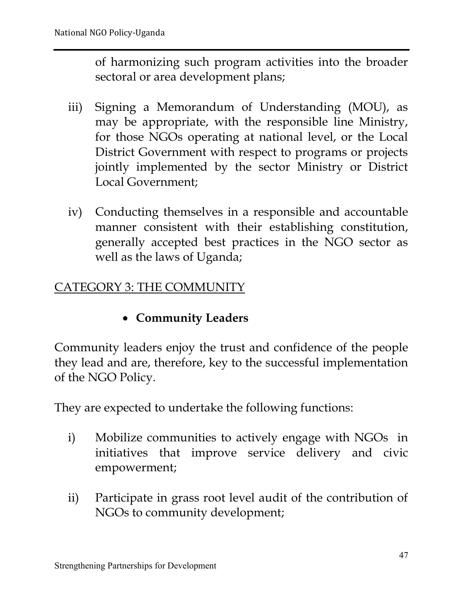of harmonizing such program activities into the broader sectoral or area development plans;

- iii) Signing a Memorandum of Understanding (MOU), as may be appropriate, with the responsible line Ministry, for those NGOs operating at national level, or the Local District Government with respect to programs or projects jointly implemented by the sector Ministry or District Local Government;
- iv) Conducting themselves in a responsible and accountable manner consistent with their establishing constitution, generally accepted best practices in the NGO sector as well as the laws of Uganda;

#### CATEGORY 3: THE COMMUNITY

#### **Community Leaders**

Community leaders enjoy the trust and confidence of the people they lead and are, therefore, key to the successful implementation of the NGO Policy.

They are expected to undertake the following functions:

- i) Mobilize communities to actively engage with NGOs in initiatives that improve service delivery and civic empowerment;
- ii) Participate in grass root level audit of the contribution of NGOs to community development;